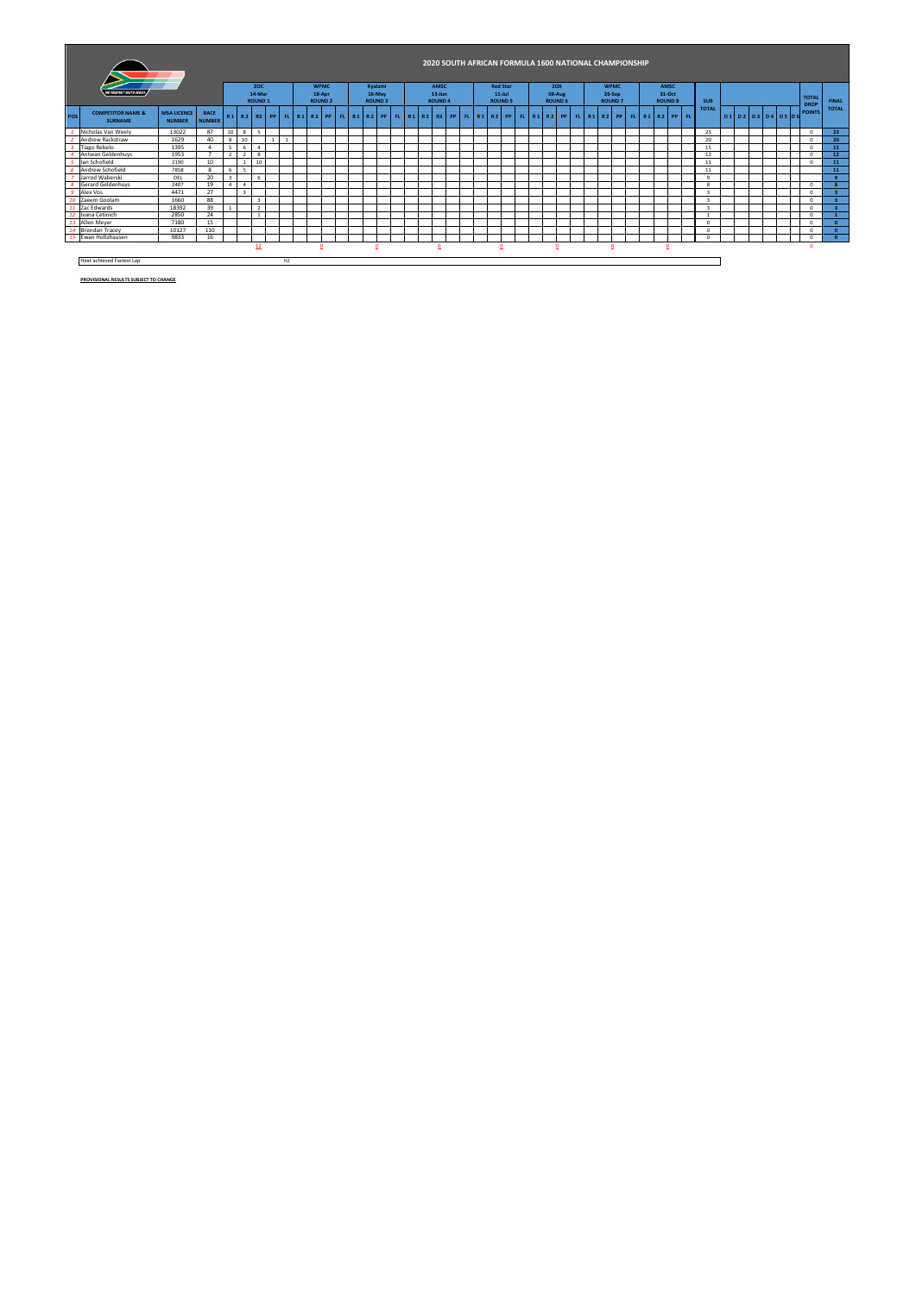|     |                                                |                                     |                       |                |    |                         |              |    |  |                |  |                |                                                    |  |                |  |  |                 |  | 2020 SOUTH AFRICAN FORMULA 1600 NATIONAL CHAMPIONSHIP |  |                |  |                |  |                            |                               |  |  |               |                              |
|-----|------------------------------------------------|-------------------------------------|-----------------------|----------------|----|-------------------------|--------------|----|--|----------------|--|----------------|----------------------------------------------------|--|----------------|--|--|-----------------|--|-------------------------------------------------------|--|----------------|--|----------------|--|----------------------------|-------------------------------|--|--|---------------|------------------------------|
|     | <b>FSRAFORT SOUTH AFRICA</b>                   |                                     |                       |                |    | ZOC                     |              |    |  | <b>WPMC</b>    |  | Kvalami        |                                                    |  | AMSC           |  |  | <b>Red Star</b> |  | <b>ZOX</b>                                            |  | <b>WPMC</b>    |  | AMSC           |  |                            |                               |  |  |               |                              |
|     |                                                |                                     |                       |                |    | 14-Mar                  |              |    |  | 18-Apr         |  | 16-May         |                                                    |  | $13 - Jun$     |  |  | $11$ -Jul       |  | 08-Aug                                                |  | 26-Sep         |  | 31-Oct         |  |                            |                               |  |  | <b>TOTAL</b>  |                              |
|     |                                                |                                     |                       |                |    | <b>ROUND 1</b>          |              |    |  | <b>ROUND 2</b> |  | <b>ROUND 3</b> |                                                    |  | <b>ROUND 4</b> |  |  | <b>ROUND 5</b>  |  | <b>ROUND 6</b>                                        |  | <b>ROUND 7</b> |  | <b>ROUND 8</b> |  | <b>SUB</b><br><b>TOTAL</b> |                               |  |  | <b>DROP</b>   | <b>FINAL</b><br><b>TOTAL</b> |
| POS | <b>COMPETITOR NAME &amp;</b><br><b>SURNAME</b> | <b>MSA LICENCE</b><br><b>NUMBER</b> | RACE<br><b>NUMBER</b> |                |    |                         | R1 R2 R3  PP |    |  |                |  |                | FL R1 R2 PP FL R1 R2 PP FL R1 R2 R3 PP FL R1 R2 PP |  |                |  |  |                 |  | FL R1 R2 PP FL R1 R2 PP                               |  |                |  | FL R1 R2 PP FL |  |                            | $D1$ $D2$ $D3$ $D4$ $D5$ $D6$ |  |  | <b>POINTS</b> |                              |
|     | Nicholas Van Weelv                             | 13022                               | 87                    | 10             | 8  | 5                       |              |    |  |                |  |                |                                                    |  |                |  |  |                 |  |                                                       |  |                |  |                |  | 23                         |                               |  |  | $^{\circ}$    | 23                           |
|     | Andrew Rackstraw                               | 1629                                | 40                    | 8              | 10 |                         |              |    |  |                |  |                |                                                    |  |                |  |  |                 |  |                                                       |  |                |  |                |  | 20                         |                               |  |  | $\Omega$      | 20                           |
|     | <b>Tiago Rebelo</b>                            | 1395                                |                       | 5              | 6  | $\overline{4}$          |              |    |  |                |  |                |                                                    |  |                |  |  |                 |  |                                                       |  |                |  |                |  | 15                         |                               |  |  | $^{\circ}$    | 15                           |
|     | Antwan Geldenhuys                              | 1953                                |                       | $\overline{z}$ | -9 | 8                       |              |    |  |                |  |                |                                                    |  |                |  |  |                 |  |                                                       |  |                |  |                |  | 12                         |                               |  |  | $\Omega$      | 12 <sup>°</sup>              |
|     | lan Schofield                                  | 2190                                | 10                    |                |    | 10                      |              |    |  |                |  |                |                                                    |  |                |  |  |                 |  |                                                       |  |                |  |                |  | 11                         |                               |  |  | $\Omega$      | 11                           |
|     | Andrew Schofield                               | 7858                                | 8                     | 6              | s  |                         |              |    |  |                |  |                |                                                    |  |                |  |  |                 |  |                                                       |  |                |  |                |  | 11                         |                               |  |  |               | 11                           |
|     | Jarrod Waberski                                | OEL                                 | 20                    | $\overline{a}$ |    | 6                       |              |    |  |                |  |                |                                                    |  |                |  |  |                 |  |                                                       |  |                |  |                |  | $\sim$                     |                               |  |  |               | $\sim$                       |
|     | <b>Gerard Geldenhuvs</b>                       | 2407                                | 19                    |                |    |                         |              |    |  |                |  |                |                                                    |  |                |  |  |                 |  |                                                       |  |                |  |                |  |                            |                               |  |  | $\Omega$      |                              |
|     | Alex Vos                                       | 4471                                | 27                    |                | ×, |                         |              |    |  |                |  |                |                                                    |  |                |  |  |                 |  |                                                       |  |                |  |                |  | $\overline{\mathbf{3}}$    |                               |  |  | $^{\circ}$    |                              |
| 10  | Zaeem Goolam                                   | 1660                                | 88                    |                |    | $\overline{\mathbf{3}}$ |              |    |  |                |  |                |                                                    |  |                |  |  |                 |  |                                                       |  |                |  |                |  | $\mathbf{3}$               |                               |  |  | $^{\circ}$    |                              |
| 11  | Zac Edwards                                    | 18392                               | 39                    |                |    | $\overline{2}$          |              |    |  |                |  |                |                                                    |  |                |  |  |                 |  |                                                       |  |                |  |                |  |                            |                               |  |  | $^{\circ}$    |                              |
| 12  | Ivana Cetinich                                 | 2850                                | 24                    |                |    | $\mathbf{1}$            |              |    |  |                |  |                |                                                    |  |                |  |  |                 |  |                                                       |  |                |  |                |  |                            |                               |  |  | $^{\circ}$    |                              |
| 13  | Allen Meyer                                    | 7180                                | 15                    |                |    |                         |              |    |  |                |  |                |                                                    |  |                |  |  |                 |  |                                                       |  |                |  |                |  | $\Omega$                   |                               |  |  | $\Omega$      | $\sqrt{2}$                   |
|     | 14 Brendan Tracey                              | 10127                               | 110                   |                |    |                         |              |    |  |                |  |                |                                                    |  |                |  |  |                 |  |                                                       |  |                |  |                |  | $\Omega$                   |                               |  |  | $^{\circ}$    | $\Omega$                     |
| 15  | Ewan Holtzhausen                               | 9833                                | 16                    |                |    |                         |              |    |  |                |  |                |                                                    |  |                |  |  |                 |  |                                                       |  |                |  |                |  | $\Omega$                   |                               |  |  | $^{\circ}$    | $\mathbf{a}$                 |
|     |                                                |                                     |                       |                |    | 12                      |              |    |  | n              |  | o              |                                                    |  | $\Omega$       |  |  |                 |  |                                                       |  | n              |  | $\overline{0}$ |  |                            |                               |  |  |               |                              |
|     | Heat achieved Fastest Lap                      |                                     |                       |                |    |                         |              | H2 |  |                |  |                |                                                    |  |                |  |  |                 |  |                                                       |  |                |  |                |  |                            |                               |  |  |               |                              |

**PROVISIONAL RESULTS SUBJECT TO CHANGE**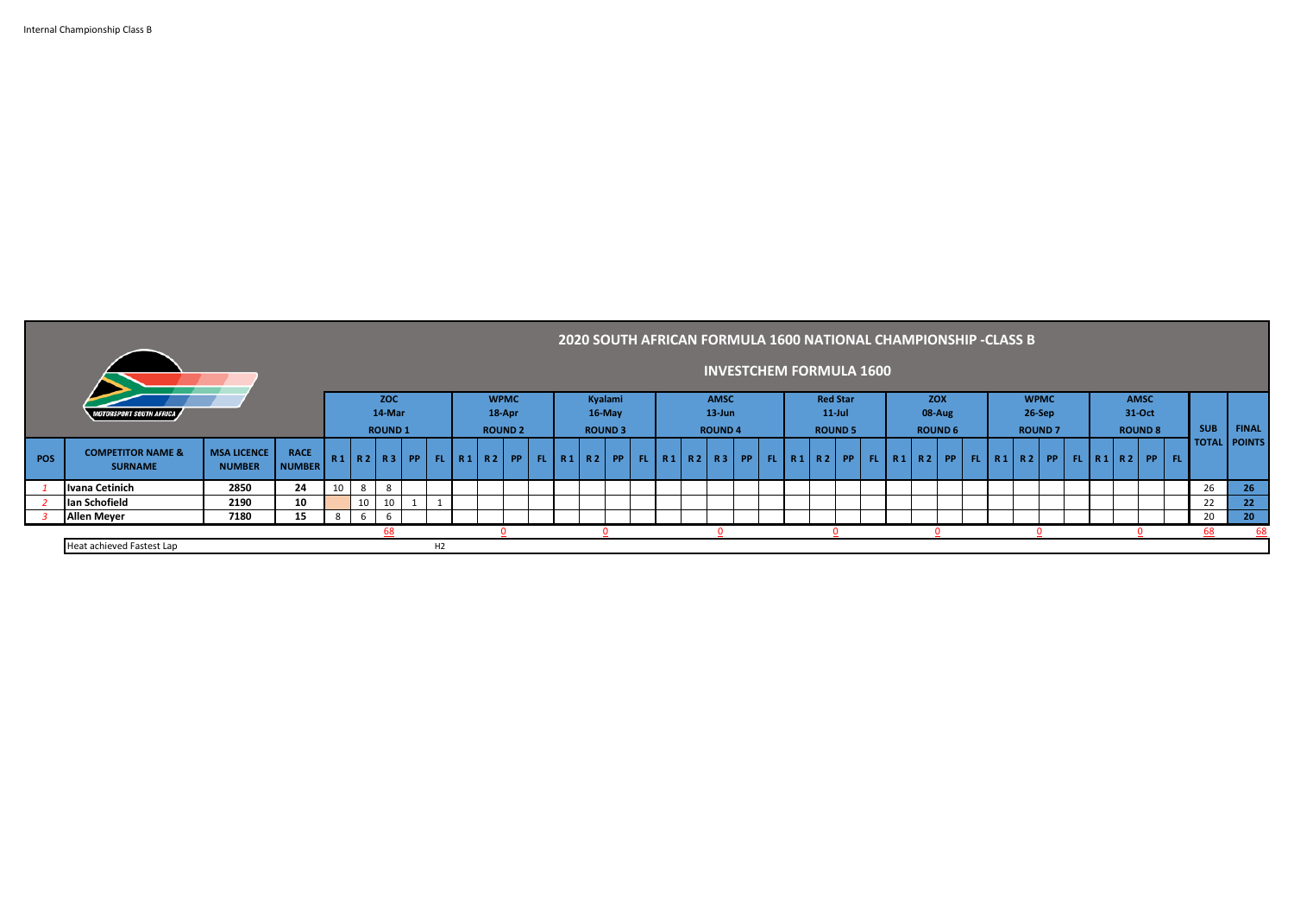| Internal Championship Class B |  |
|-------------------------------|--|
|                               |  |

m.

| 2020 SOUTH AFRICAN FORMULA 1600 NATIONAL CHAMPIONSHIP -CLASS B  |                                                |                                     |                              |                                                           |        |                |  |    |  |                           |                |  |             |                |                                |                |  |           |                |  |        |                |        |                |  |        |                                                                             |  |            |                     |
|-----------------------------------------------------------------|------------------------------------------------|-------------------------------------|------------------------------|-----------------------------------------------------------|--------|----------------|--|----|--|---------------------------|----------------|--|-------------|----------------|--------------------------------|----------------|--|-----------|----------------|--|--------|----------------|--------|----------------|--|--------|-----------------------------------------------------------------------------|--|------------|---------------------|
|                                                                 |                                                |                                     |                              |                                                           |        |                |  |    |  |                           |                |  |             |                | <b>INVESTCHEM FORMULA 1600</b> |                |  |           |                |  |        |                |        |                |  |        |                                                                             |  |            |                     |
| Kyalami<br>AMSC<br><b>ZOC</b><br><b>WPMC</b><br><b>Red Star</b> |                                                |                                     |                              |                                                           |        |                |  |    |  | <b>ZOX</b><br><b>WPMC</b> |                |  | <b>AMSC</b> |                |                                |                |  |           |                |  |        |                |        |                |  |        |                                                                             |  |            |                     |
|                                                                 | <b>MOTORSPORT SOUTH AFRICA</b>                 |                                     |                              |                                                           | 14-Mar |                |  |    |  | 18-Apr                    |                |  | 16-May      |                | $13$ -Jun                      |                |  | $11$ -Jul |                |  | 08-Aug |                | 26-Sep |                |  | 31-Oct |                                                                             |  |            |                     |
|                                                                 |                                                |                                     |                              |                                                           |        | <b>ROUND 1</b> |  |    |  |                           | <b>ROUND 2</b> |  |             | <b>ROUND 3</b> |                                | <b>ROUND 4</b> |  |           | <b>ROUND 5</b> |  |        | <b>ROUND 6</b> |        | <b>ROUND 7</b> |  |        | <b>ROUND 8</b>                                                              |  | <b>SUB</b> | <b>FINAL</b>        |
| POS                                                             | <b>COMPETITOR NAME &amp;</b><br><b>SURNAME</b> | <b>MSA LICENCE</b><br><b>NUMBER</b> | <b>RACE</b><br><b>NUMBER</b> | R1   R2   R3   PP   FL   R1   R2   PP   FL   R1   R2   PP |        |                |  |    |  |                           |                |  |             |                |                                |                |  |           |                |  |        |                |        |                |  |        | FL R1 R2 R3  PP  FL R1 R2  PP  FL R1 R2  PP  FL R1 R2  PP  FL R1 R2  PP  FL |  |            | <b>TOTAL POINTS</b> |
|                                                                 | Ivana Cetinich                                 | 2850                                | 24                           | 10                                                        | 8      | 8              |  |    |  |                           |                |  |             |                |                                |                |  |           |                |  |        |                |        |                |  |        |                                                                             |  | 26         | 26                  |
|                                                                 | Ian Schofield                                  | 2190                                | 10                           |                                                           | 10     | 10             |  |    |  |                           |                |  |             |                |                                |                |  |           |                |  |        |                |        |                |  |        |                                                                             |  | 22         | 22                  |
|                                                                 | <b>Allen Meyer</b>                             | 7180                                | 15                           |                                                           | -6     | -6             |  |    |  |                           |                |  |             |                |                                |                |  |           |                |  |        |                |        |                |  |        |                                                                             |  | 20         | 20 <sub>2</sub>     |
|                                                                 |                                                |                                     |                              |                                                           |        |                |  |    |  |                           |                |  |             |                |                                |                |  |           |                |  |        |                |        |                |  |        |                                                                             |  |            | 68                  |
|                                                                 | Heat achieved Fastest Lap                      |                                     |                              |                                                           |        |                |  | H2 |  |                           |                |  |             |                |                                |                |  |           |                |  |        |                |        |                |  |        |                                                                             |  |            |                     |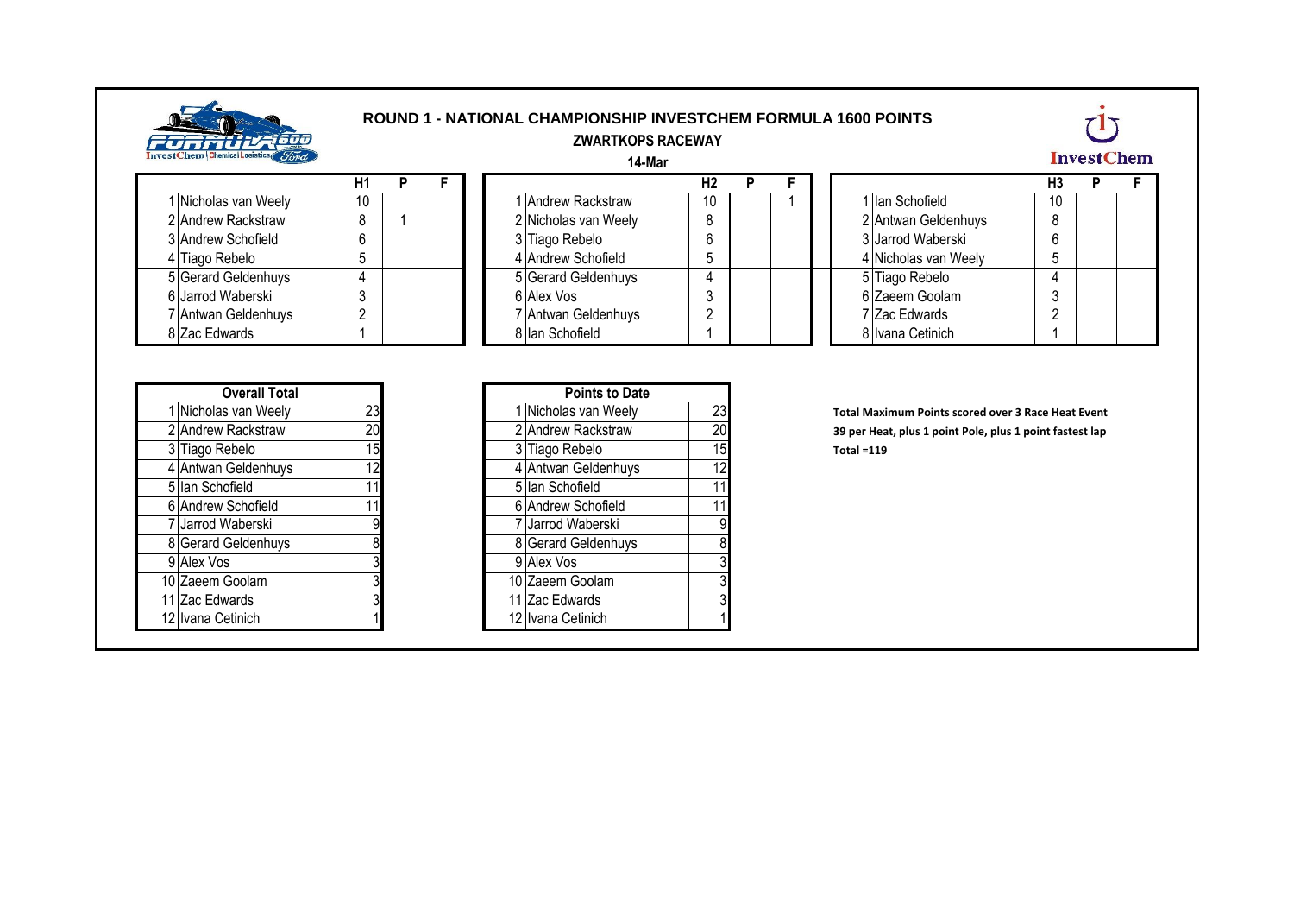

## **ROUND 1 - NATIONAL CHAMPIONSHIP INVESTCHEM FORMULA 1600 POINTS ZWARTKOPS RACEWAY**

**14-Mar**



| 1 Nicholas van Weely | 10 |  |
|----------------------|----|--|
| 2 Andrew Rackstraw   |    |  |
| 3 Andrew Schofield   |    |  |
| 4 Tiago Rebelo       | 5  |  |
| 5 Gerard Geldenhuys  |    |  |
| 6 Jarrod Waberski    | 3  |  |
| 7 Antwan Geldenhuys  |    |  |
| 8 Zac Edwards        |    |  |

|                      | Η1     |  |                      | Н2 |  |                      | H3  |
|----------------------|--------|--|----------------------|----|--|----------------------|-----|
| 1 Nicholas van Weely | 10     |  | 1 Andrew Rackstraw   | 10 |  | 1 Ian Schofield      | 10  |
| 2 Andrew Rackstraw   | 8      |  | 2 Nicholas van Weely | 8  |  | 2 Antwan Geldenhuys  | - 8 |
| 3 Andrew Schofield   | 6      |  | 3 Tiago Rebelo       | 6  |  | 3 Jarrod Waberski    | 6   |
| 4 Tiago Rebelo       |        |  | 4 Andrew Schofield   |    |  | 4 Nicholas van Weely |     |
| 5 Gerard Geldenhuys  |        |  | 5 Gerard Geldenhuys  |    |  | 5 Tiago Rebelo       | 4   |
| 6 Jarrod Waberski    | ົ      |  | 6 Alex Vos           |    |  | 6 Zaeem Goolam       |     |
| 7 Antwan Geldenhuys  | $\sim$ |  | 7 Antwan Geldenhuys  |    |  | 7 Zac Edwards        |     |
| 8 Zac Edwards        |        |  | 8 Ian Schofield      |    |  | 8 Ivana Cetinich     |     |

| H1 |  |  |                      |    |  |                      |    |  |
|----|--|--|----------------------|----|--|----------------------|----|--|
| 10 |  |  | 1 Andrew Rackstraw   | 10 |  | 1 Ilan Schofield     | 10 |  |
| 8  |  |  | 2 Nicholas van Weely |    |  | 2 Antwan Geldenhuys  |    |  |
| 6  |  |  | 3 Tiago Rebelo       |    |  | 3 Jarrod Waberski    | 6  |  |
|    |  |  | 4 Andrew Schofield   |    |  | 4 Nicholas van Weely |    |  |
|    |  |  | 5 Gerard Geldenhuys  |    |  | 5 Tiago Rebelo       |    |  |
| 3  |  |  | 6 Alex Vos           |    |  | 6 Zaeem Goolam       |    |  |
| റ  |  |  | 7 Antwan Geldenhuys  |    |  | 7 Zac Edwards        |    |  |
|    |  |  | 8 Ian Schofield      |    |  | 8 Ivana Cetinich     |    |  |

| <b>Overall Total</b> |    |  | <b>Points to Date</b> |
|----------------------|----|--|-----------------------|
| 1 Nicholas van Weely | 23 |  | 1 Nicholas van Weely  |
| 2 Andrew Rackstraw   | 20 |  | 2 Andrew Rackstraw    |
| 3 Tiago Rebelo       | 15 |  | 3 Tiago Rebelo        |
| 4 Antwan Geldenhuys  | 12 |  | 4 Antwan Geldenhuys   |
| 5 Ian Schofield      |    |  | 5 Ian Schofield       |
| 6 Andrew Schofield   |    |  | 6 Andrew Schofield    |
| 7 Jarrod Waberski    | 9  |  | 7 Jarrod Waberski     |
| 8 Gerard Geldenhuys  | 8  |  | 8 Gerard Geldenhuys   |
| 9 Alex Vos           | າ  |  | 9 Alex Vos            |
| 10 Zaeem Goolam      | າ  |  | 10 Zaeem Goolam       |
| 11 Zac Edwards       | າ  |  | 11 Zac Edwards        |
| 12 Ivana Cetinich    |    |  | 12 Ivana Cetinich     |
|                      |    |  |                       |

| <b>Overall Total</b>       |    | <b>Points to Date</b>        |    |                  |  |
|----------------------------|----|------------------------------|----|------------------|--|
| 23<br>1 Nicholas van Weely |    | 1 Nicholas van Weely         | 23 | <b>Total Max</b> |  |
| 20<br>2 Andrew Rackstraw   |    | 2 Andrew Rackstraw           | 20 | 39 per Hea       |  |
| 15<br>3 Tiago Rebelo       |    | 3 Tiago Rebelo               | 15 | Total =119       |  |
| 12<br>4 Antwan Geldenhuys  |    | 4 Antwan Geldenhuys          | 12 |                  |  |
| 5 Ian Schofield<br>11      |    | 5 Ian Schofield              |    |                  |  |
| 6 Andrew Schofield<br>11   |    | 6 Andrew Schofield           |    |                  |  |
| 7 Jarrod Waberski          | 9  | <sup>7</sup> Jarrod Waberski | 9  |                  |  |
| 8 Gerard Geldenhuys        | 8  | 8 Gerard Geldenhuys          |    |                  |  |
| 9 Alex Vos                 |    | 9 Alex Vos                   |    |                  |  |
| 10 Zaeem Goolam            | 31 | 10 Zaeem Goolam              |    |                  |  |
| 11 Zac Edwards             |    | 11 Zac Edwards               |    |                  |  |
| 12 Ivana Cetinich          |    | 12 Ivana Cetinich            |    |                  |  |
|                            |    |                              |    |                  |  |

**1 Total Maximum Points scored over 3 Race Heat Event** 39 per Heat, plus 1 point Pole, plus 1 point fastest lap